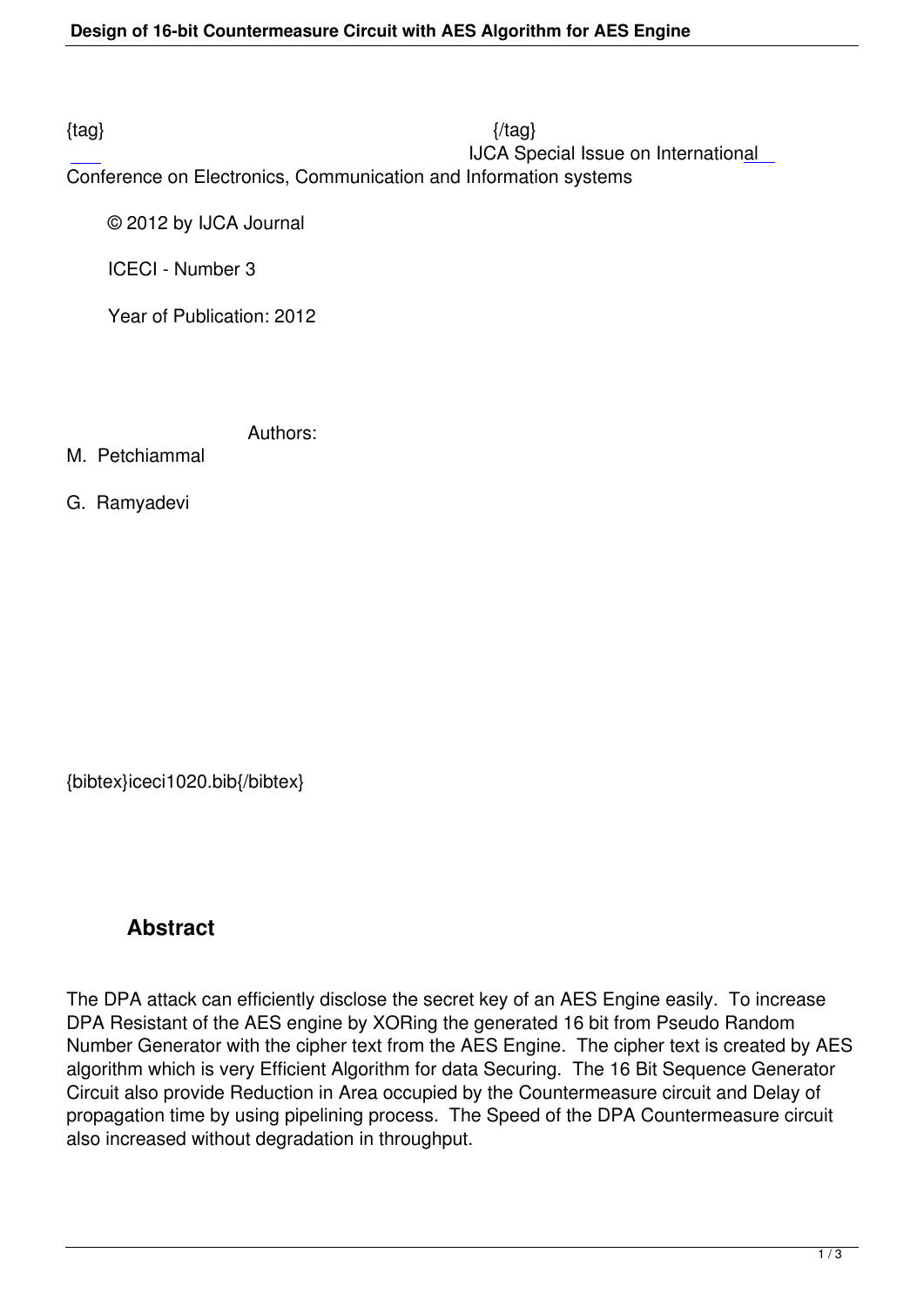$\{tag\}$ IJCA Special Issue on International

Conference on Electronics, Communication and Information systems

© 2012 by IJCA Journal

ICECI - Number 3

Year of Publication: 2012

Authors:

M. Petchiammal

G. Ramyadevi

{bibtex}iceci1020.bib{/bibtex}

## **Abstract**

The DPA attack can efficiently disclose the secret key of an AES Engine easily. To increase DPA Resistant of the AES engine by XORing the generated 16 bit from Pseudo Random Number Generator with the cipher text from the AES Engine. The cipher text is created by AES algorithm which is very Efficient Algorithm for data Securing. The 16 Bit Sequence Generator Circuit also provide Reduction in Area occupied by the Countermeasure circuit and Delay of propagation time by using pipelining process. The Speed of the DPA Countermeasure circuit also increased without degradation in throughput.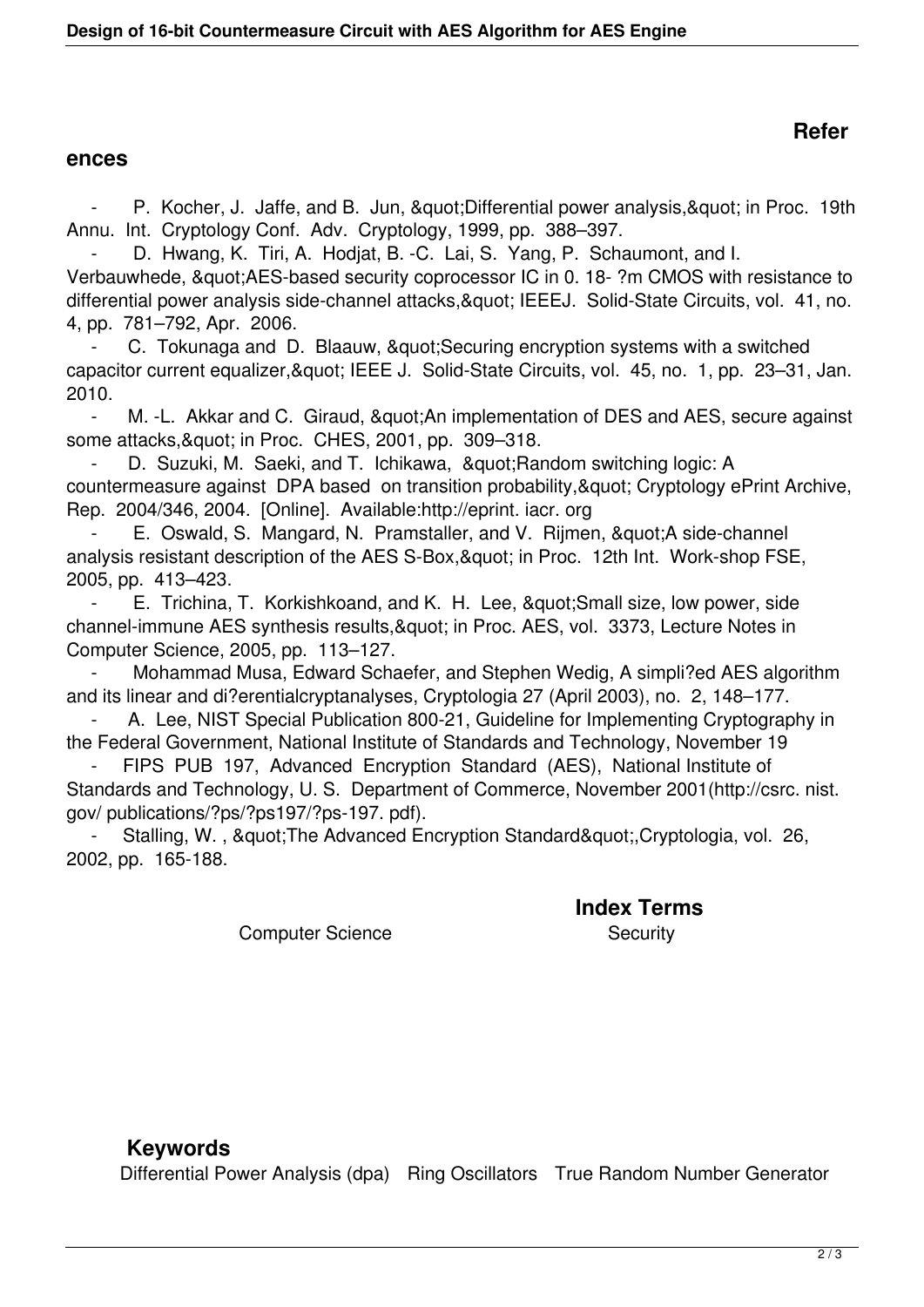## **Refer**

## **ences**

P. Kocher, J. Jaffe, and B. Jun, & quot; Differential power analysis, & quot; in Proc. 19th Annu. Int. Cryptology Conf. Adv. Cryptology, 1999, pp. 388–397.

D. Hwang, K. Tiri, A. Hodjat, B. -C. Lai, S. Yang, P. Schaumont, and I. Verbauwhede, " AES-based security coprocessor IC in 0. 18- ?m CMOS with resistance to differential power analysis side-channel attacks, & quot; IEEEJ. Solid-State Circuits, vol. 41, no. 4, pp. 781–792, Apr. 2006.

C. Tokunaga and D. Blaauw, & quot; Securing encryption systems with a switched capacitor current equalizer, & quot; IEEE J. Solid-State Circuits, vol. 45, no. 1, pp. 23-31, Jan. 2010.

M. -L. Akkar and C. Giraud, & quot; An implementation of DES and AES, secure against some attacks, & quot; in Proc. CHES, 2001, pp. 309-318.

D. Suzuki, M. Saeki, and T. Ichikawa, " Random switching logic: A countermeasure against DPA based on transition probability, & quot; Cryptology ePrint Archive, Rep. 2004/346, 2004. [Online]. Available:http://eprint. iacr. org

E. Oswald, S. Mangard, N. Pramstaller, and V. Rijmen, "A side-channel analysis resistant description of the AES S-Box, & quot; in Proc. 12th Int. Work-shop FSE, 2005, pp. 413–423.

E. Trichina, T. Korkishkoand, and K. H. Lee, " Small size, low power, side channel-immune AES synthesis results, & quot; in Proc. AES, vol. 3373, Lecture Notes in Computer Science, 2005, pp. 113–127.

 - Mohammad Musa, Edward Schaefer, and Stephen Wedig, A simpli?ed AES algorithm and its linear and di?erentialcryptanalyses, Cryptologia 27 (April 2003), no. 2, 148–177.

A. Lee, NIST Special Publication 800-21, Guideline for Implementing Cryptography in the Federal Government, National Institute of Standards and Technology, November 19

FIPS PUB 197, Advanced Encryption Standard (AES), National Institute of Standards and Technology, U. S. Department of Commerce, November 2001(http://csrc. nist. gov/ publications/?ps/?ps197/?ps-197. pdf).

Stalling, W., & auot; The Advanced Encryption Standard & quot;, Cryptologia, vol. 26, 2002, pp. 165-188.

**Index Terms** 

Computer Science Security

## **Keywords**

Differential Power Analysis (dpa) Ring Oscillators True Random Number Generator